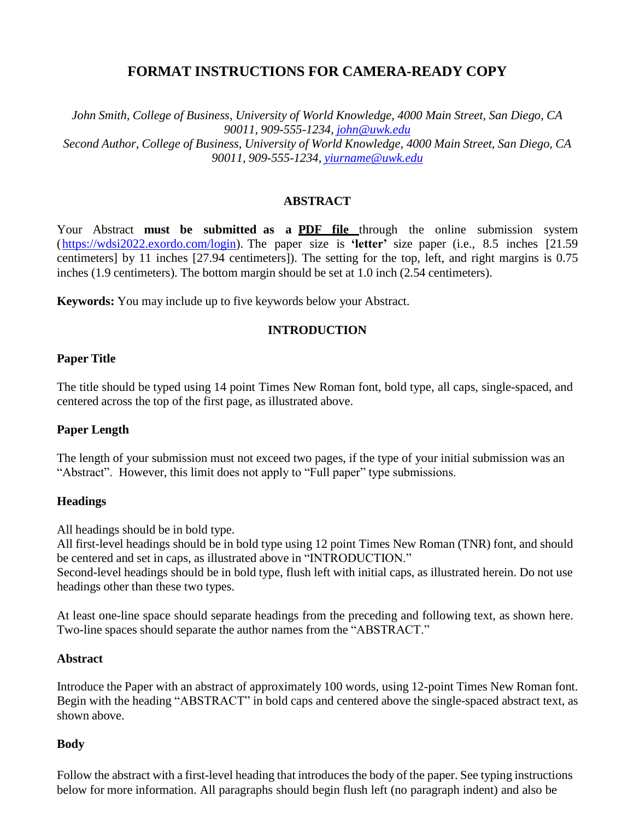# **FORMAT INSTRUCTIONS FOR CAMERA-READY COPY**

*John Smith, College of Business, University of World Knowledge, 4000 Main Street, San Diego, CA 90011, 909-555-1234, [john@uwk.edu](mailto:john@uwk.edu) Second Author, College of Business, University of World Knowledge, 4000 Main Street, San Diego, CA 90011, 909-555-1234, [yiurname@uwk.edu](mailto:yiurname@uwk.edu)*

### **ABSTRACT**

Your Abstract **must be submitted as a PDF file** through the online submission system [\(https://wdsi2022.exordo.com/login\)](https://wdsi2022.exordo.com/login). The paper size is **'letter'** size paper (i.e., 8.5 inches [21.59 centimeters] by 11 inches [27.94 centimeters]). The setting for the top, left, and right margins is 0.75 inches (1.9 centimeters). The bottom margin should be set at 1.0 inch (2.54 centimeters).

**Keywords:** You may include up to five keywords below your Abstract.

#### **INTRODUCTION**

#### **Paper Title**

The title should be typed using 14 point Times New Roman font, bold type, all caps, single-spaced, and centered across the top of the first page, as illustrated above.

#### **Paper Length**

The length of your submission must not exceed two pages, if the type of your initial submission was an "Abstract". However, this limit does not apply to "Full paper" type submissions.

#### **Headings**

All headings should be in bold type.

All first-level headings should be in bold type using 12 point Times New Roman (TNR) font, and should be centered and set in caps, as illustrated above in "INTRODUCTION." Second-level headings should be in bold type, flush left with initial caps, as illustrated herein. Do not use

headings other than these two types.

At least one-line space should separate headings from the preceding and following text, as shown here. Two-line spaces should separate the author names from the "ABSTRACT."

#### **Abstract**

Introduce the Paper with an abstract of approximately 100 words, using 12-point Times New Roman font. Begin with the heading "ABSTRACT" in bold caps and centered above the single-spaced abstract text, as shown above.

#### **Body**

Follow the abstract with a first-level heading that introduces the body of the paper. See typing instructions below for more information. All paragraphs should begin flush left (no paragraph indent) and also be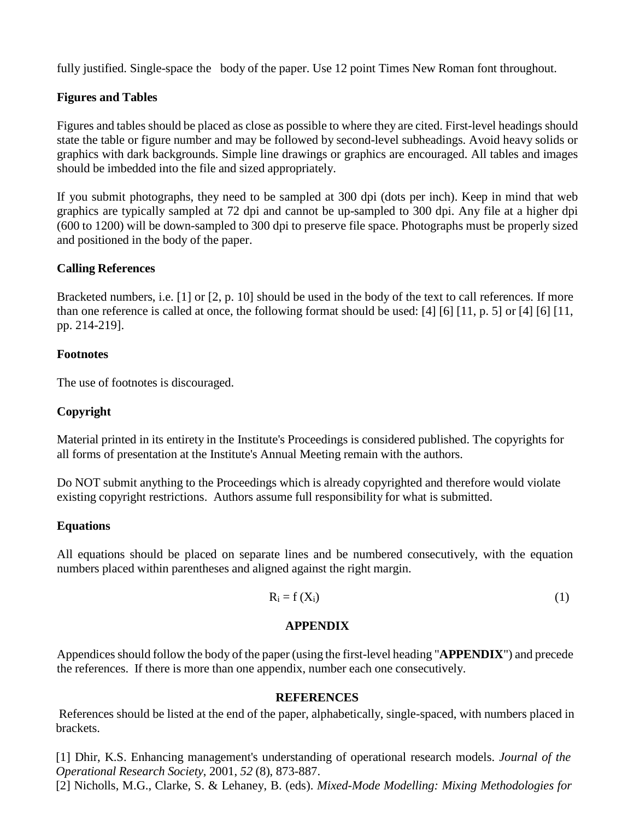fully justified. Single-space the body of the paper. Use 12 point Times New Roman font throughout.

## **Figures and Tables**

Figures and tables should be placed as close as possible to where they are cited. First-level headings should state the table or figure number and may be followed by second-level subheadings. Avoid heavy solids or graphics with dark backgrounds. Simple line drawings or graphics are encouraged. All tables and images should be imbedded into the file and sized appropriately.

If you submit photographs, they need to be sampled at 300 dpi (dots per inch). Keep in mind that web graphics are typically sampled at 72 dpi and cannot be up-sampled to 300 dpi. Any file at a higher dpi (600 to 1200) will be down-sampled to 300 dpi to preserve file space. Photographs must be properly sized and positioned in the body of the paper.

### **Calling References**

Bracketed numbers, i.e. [1] or [2, p. 10] should be used in the body of the text to call references. If more than one reference is called at once, the following format should be used: [4] [6] [11, p. 5] or [4] [6] [11, pp. 214-219].

### **Footnotes**

The use of footnotes is discouraged.

### **Copyright**

Material printed in its entirety in the Institute's Proceedings is considered published. The copyrights for all forms of presentation at the Institute's Annual Meeting remain with the authors.

Do NOT submit anything to the Proceedings which is already copyrighted and therefore would violate existing copyright restrictions. Authors assume full responsibility for what is submitted.

### **Equations**

All equations should be placed on separate lines and be numbered consecutively, with the equation numbers placed within parentheses and aligned against the right margin.

$$
R_i = f(X_i) \tag{1}
$$

### **APPENDIX**

Appendices should follow the body of the paper (using the first-level heading "**APPENDIX**") and precede the references. If there is more than one appendix, number each one consecutively.

#### **REFERENCES**

References should be listed at the end of the paper, alphabetically, single-spaced, with numbers placed in brackets.

[1] Dhir, K.S. Enhancing management's understanding of operational research models. *Journal of the Operational Research Society*, 2001, *52* (8), 873-887. [2] Nicholls, M.G., Clarke, S. & Lehaney, B. (eds). *Mixed-Mode Modelling: Mixing Methodologies for*